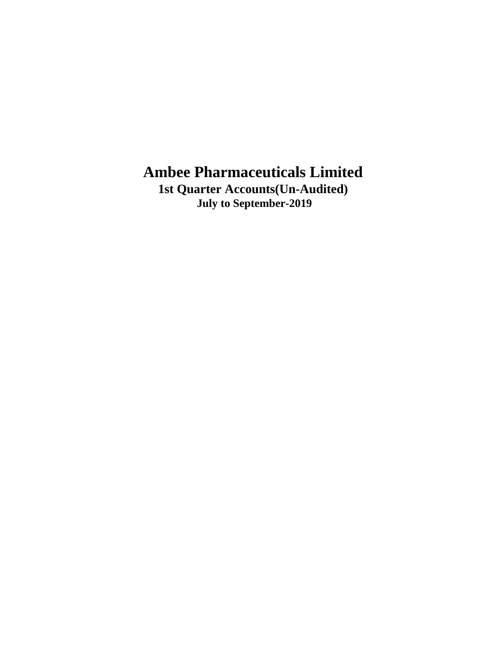**1st Quarter Accounts(Un-Audited) July to September-2019**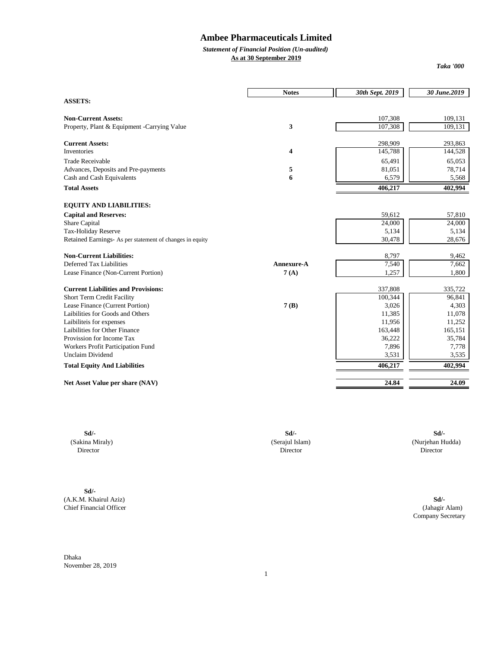## *Statement of Financial Position (Un-audited)*

**As at 30 September 2019**

*Taka '000*

| <b>ASSETS:</b><br>107,308<br><b>Non-Current Assets:</b><br>3<br>107,308<br>Property, Plant & Equipment -Carrying Value<br><b>Current Assets:</b><br>298,909<br>Inventories<br>4<br>145,788<br><b>Trade Receivable</b> | 65,491<br>81,051 | 109,131<br>109,131<br>293,863<br>144,528 |
|-----------------------------------------------------------------------------------------------------------------------------------------------------------------------------------------------------------------------|------------------|------------------------------------------|
|                                                                                                                                                                                                                       |                  |                                          |
|                                                                                                                                                                                                                       |                  |                                          |
|                                                                                                                                                                                                                       |                  |                                          |
|                                                                                                                                                                                                                       |                  |                                          |
|                                                                                                                                                                                                                       |                  |                                          |
|                                                                                                                                                                                                                       |                  | 65,053                                   |
| Advances, Deposits and Pre-payments<br>5                                                                                                                                                                              |                  | 78,714                                   |
| 6<br>Cash and Cash Equivalents                                                                                                                                                                                        | 6,579            | 5,568                                    |
| <b>Total Assets</b><br>406,217                                                                                                                                                                                        |                  | 402,994                                  |
| <b>EQUITY AND LIABILITIES:</b>                                                                                                                                                                                        |                  |                                          |
| <b>Capital and Reserves:</b>                                                                                                                                                                                          | 59,612           | 57,810                                   |
| Share Capital                                                                                                                                                                                                         | 24,000           | 24,000                                   |
| Tax-Holiday Reserve                                                                                                                                                                                                   | 5,134            | 5,134                                    |
| Retained Earnings- As per statement of changes in equity                                                                                                                                                              | 30,478           | 28,676                                   |
| <b>Non-Current Liabilities:</b>                                                                                                                                                                                       | 8,797            | 9,462                                    |
| Deferred Tax Liabilities<br>Annexure-A                                                                                                                                                                                | 7,540            | 7,662                                    |
| Lease Finance (Non-Current Portion)<br>7(A)                                                                                                                                                                           | 1,257            | 1,800                                    |
| <b>Current Liabilities and Provisions:</b><br>337,808                                                                                                                                                                 |                  | 335,722                                  |
| 100,344<br>Short Term Credit Facility                                                                                                                                                                                 |                  | 96,841                                   |
| Lease Finance (Current Portion)<br>7(B)                                                                                                                                                                               | 3,026            | 4,303                                    |
| Laibilities for Goods and Others                                                                                                                                                                                      | 11,385           | 11,078                                   |
| Laibiliteis for expenses                                                                                                                                                                                              | 11,956           | 11,252                                   |
| Laibilities for Other Finance<br>163,448                                                                                                                                                                              |                  | 165,151                                  |
| Provission for Income Tax                                                                                                                                                                                             | 36,222           | 35,784                                   |
| Workers Profit Participation Fund                                                                                                                                                                                     | 7,896            | 7,778                                    |
| <b>Unclaim Dividend</b>                                                                                                                                                                                               | 3,531            | 3,535                                    |
| <b>Total Equity And Liabilities</b><br>406,217                                                                                                                                                                        |                  | 402,994                                  |
| Net Asset Value per share (NAV)                                                                                                                                                                                       | 24.84            | 24.09                                    |

**Sd/-** (A.K.M. Khairul Aziz) **Sd/-** Chief Financial Officer

**Sd/- Sd/- Sd/-** (Sakina Miraly) (Serajul Islam) (Nurjehan Hudda) Director Director Director

> Company Secretary (Jahagir Alam)

Dhaka November 28, 2019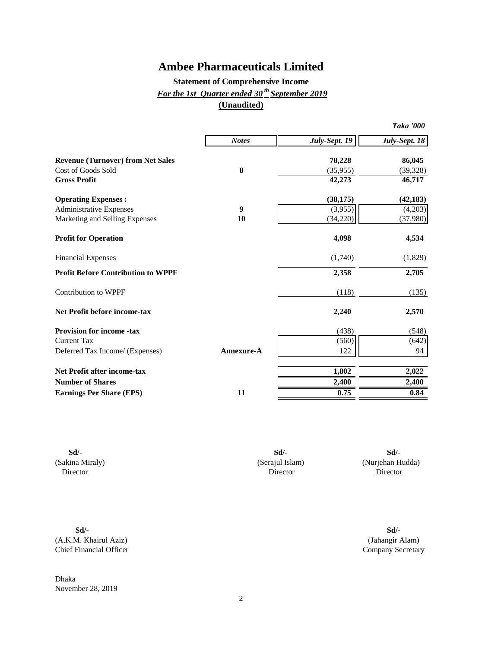## **Statement of Comprehensive Income** *For the 1st Quarter ended 30 th September 2019* **(Unaudited)**

|                                           |              |               | <b>Taka '000</b> |
|-------------------------------------------|--------------|---------------|------------------|
|                                           | <b>Notes</b> | July-Sept. 19 | July-Sept. 18    |
| <b>Revenue (Turnover) from Net Sales</b>  |              | 78,228        | 86,045           |
| Cost of Goods Sold                        | 8            | (35, 955)     | (39, 328)        |
| <b>Gross Profit</b>                       |              | 42,273        | 46,717           |
| <b>Operating Expenses:</b>                |              | (38, 175)     | (42, 183)        |
| <b>Administrative Expenses</b>            | 9            | (3,955)       | (4,203)          |
| Marketing and Selling Expenses            | 10           | (34,220)      | (37,980)         |
| <b>Profit for Operation</b>               |              | 4,098         | 4,534            |
| <b>Financial Expenses</b>                 |              | (1,740)       | (1,829)          |
| <b>Profit Before Contribution to WPPF</b> |              | 2,358         | 2,705            |
| Contribution to WPPF                      |              | (118)         | (135)            |
| <b>Net Profit before income-tax</b>       |              | 2,240         | 2,570            |
| <b>Provision for income -tax</b>          |              | (438)         | (548)            |
| <b>Current Tax</b>                        |              | (560)         | (642)            |
| Deferred Tax Income/ (Expenses)           | Annexure-A   | 122           | 94               |
| <b>Net Profit after income-tax</b>        |              | 1,802         | 2,022            |
| <b>Number of Shares</b>                   |              | 2,400         | 2,400            |
| <b>Earnings Per Share (EPS)</b>           | 11           | 0.75          | 0.84             |

Director Director (Serajul Islam) Director **Sd/-**

**Sd/- Sd/-** (Sakina Miraly) (Nurjehan Hudda)

**Sd/- Sd/-** (A.K.M. Khairul Aziz) (Jahangir Alam) Chief Financial Officer Company Secretary

Dhaka November 28, 2019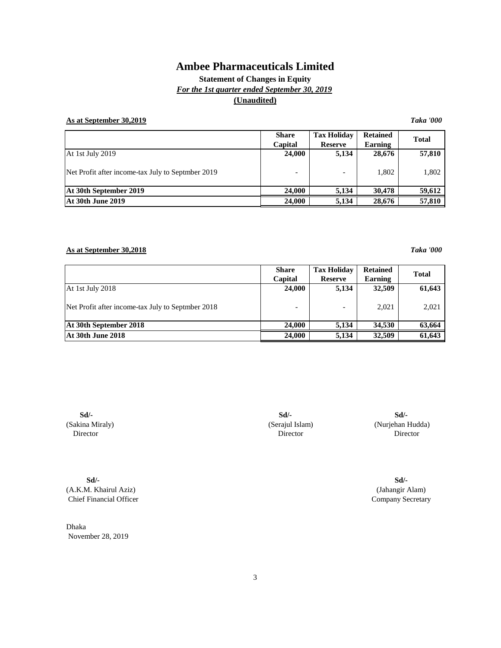**Statement of Changes in Equity** *For the 1st quarter ended September 30, 2019* **(Unaudited)**

### **As at September 30,2019** *Taka '000*

**Share Tax Holiday Retained Capital Reserve Earning** At 1st July 2019 **24,000** 5,134 **28,676 57,810** Net Profit after income-tax July to Septmber 2019  $\qquad \qquad$  - 1,802 1,802 1,802 At 30th September 2019 24,000 5,134 30,478 59,612 At 30th June 2019 **24,000 24,000 24,000 5,134 28,676 57,810 Total**

### **As at September 30,2018** *Taka '000*

|                                                   | <b>Share</b> | <b>Tax Holiday</b>        | <b>Retained</b> | <b>Total</b> |  |
|---------------------------------------------------|--------------|---------------------------|-----------------|--------------|--|
|                                                   | Capital      | Earning<br><b>Reserve</b> |                 |              |  |
| At 1st July 2018                                  | 24,000       | 5,134                     | 32,509          | 61,643       |  |
| Net Profit after income-tax July to Septmber 2018 |              |                           | 2,021           | 2,021        |  |
| At 30th September 2018                            | 24,000       | 5.134                     | 34,530          | 63,664       |  |
| At 30th June 2018                                 | 24,000       | 5.134                     | 32,509          | 61,643       |  |

**Sd/- Sd/-** (Sakina Miraly) Director

**Sd/-** (A.K.M. Khairul Aziz) Chief Financial Officer

Dhaka November 28, 2019

Director Director (Serajul Islam) (Nurjehan Hudda) **Sd/-**

> (Jahangir Alam) Company Secretary **Sd/-**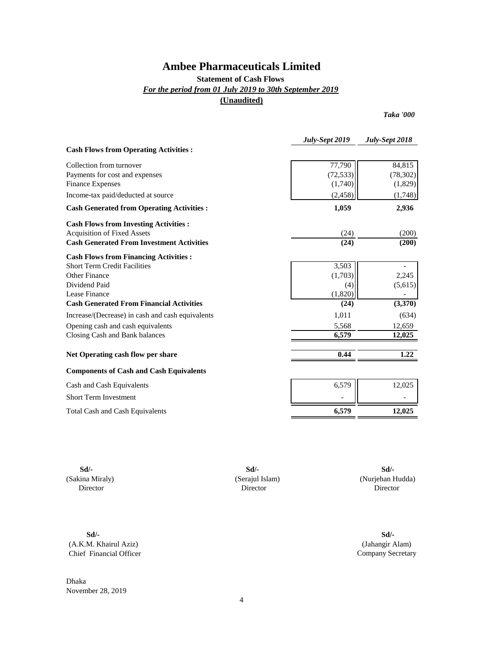### **Statement of Cash Flows**

*For the period from 01 July 2019 to 30th September 2019*

**(Unaudited)**

*Taka '000*

|                                                  | July-Sept 2019 | July-Sept 2018 |
|--------------------------------------------------|----------------|----------------|
| <b>Cash Flows from Operating Activities:</b>     |                |                |
| Collection from turnover                         | 77,790         | 84,815         |
| Payments for cost and expenses                   | (72, 533)      | (78, 302)      |
| <b>Finance Expenses</b>                          | (1,740)        | (1,829)        |
| Income-tax paid/deducted at source               | (2, 458)       | (1,748)        |
| <b>Cash Generated from Operating Activities:</b> | 1,059          | 2,936          |
| <b>Cash Flows from Investing Activities:</b>     |                |                |
| <b>Acquisition of Fixed Assets</b>               | (24)           | (200)          |
| <b>Cash Generated From Investment Activities</b> | (24)           | (200)          |
| <b>Cash Flows from Financing Activities:</b>     |                |                |
| <b>Short Term Credit Facilities</b>              | 3,503          |                |
| <b>Other Finance</b>                             | (1,703)        | 2,245          |
| Dividend Paid                                    | (4)            | (5,615)        |
| Lease Finance                                    | (1,820)        |                |
| <b>Cash Generated From Financial Activities</b>  | (24)           | (3,370)        |
| Increase/(Decrease) in cash and cash equivalents | 1,011          | (634)          |
| Opening cash and cash equivalents                | 5,568          | 12,659         |
| Closing Cash and Bank balances                   | 6,579          | 12,025         |
| Net Operating cash flow per share                | 0.44           | 1.22           |
| <b>Components of Cash and Cash Equivalents</b>   |                |                |
| Cash and Cash Equivalents                        | 6,579          | 12,025         |
| <b>Short Term Investment</b>                     |                |                |
| <b>Total Cash and Cash Equivalents</b>           | 6,579          | 12,025         |

(Sakina Miraly) (Serajul Islam) Director Director

**Sd/- Sd/- Sd/-**

 (Nurjehan Hudda) Director

**Sd/- Sd/-** (A.K.M. Khairul Aziz) Chief Financial Officer

Dhaka November 28, 2019

(Jahangir Alam) Company Secretary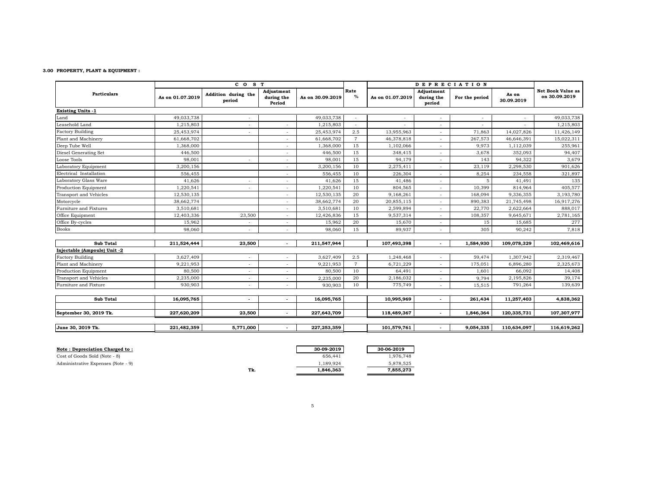#### **3.00 PROPERTY, PLANT & EQUIPMENT :**

|                              |                  | CO <sub>S</sub> T             |                                    |                  |                | <b>DEPRECIATION</b> |                                    |                |                     |                                           |
|------------------------------|------------------|-------------------------------|------------------------------------|------------------|----------------|---------------------|------------------------------------|----------------|---------------------|-------------------------------------------|
| <b>Particulars</b>           | As on 01.07.2019 | Addition during the<br>period | Adjustment<br>during the<br>Period | As on 30.09.2019 | Rate<br>%      | As on 01.07.2019    | Adjustment<br>during the<br>period | For the period | As on<br>30.09.2019 | <b>Net Book Value as</b><br>on 30.09.2019 |
| <b>Existing Units -1</b>     |                  |                               |                                    |                  |                |                     |                                    |                |                     |                                           |
| Land                         | 49,033,738       |                               |                                    | 49,033,738       |                |                     | ٠                                  |                |                     | 49,033,738                                |
| Leasehold Land               | 1,215,803        |                               |                                    | 1,215,803        |                |                     | ٠                                  |                |                     | 1,215,803                                 |
| <b>Factory Building</b>      | 25,453,974       |                               |                                    | 25,453,974       | 2.5            | 13,955,963          | ٠                                  | 71,863         | 14,027,826          | 11,426,149                                |
| Plant and Machinery          | 61,668,702       |                               |                                    | 61,668,702       | $\overline{7}$ | 46,378,818          | $\overline{\phantom{a}}$           | 267,573        | 46,646,391          | 15,022,311                                |
| Deep Tube Well               | 1,368,000        |                               | $\overline{\phantom{a}}$           | 1,368,000        | 15             | 1,102,066           | $\overline{\phantom{a}}$           | 9,973          | 1,112,039           | 255,961                                   |
| Diesel Generating Set        | 446,500          |                               |                                    | 446,500          | 15             | 348,415             | $\overline{\phantom{a}}$           | 3,678          | 352,093             | 94,407                                    |
| Loose Tools                  | 98,001           | ٠                             | $\sim$                             | 98,001           | 15             | 94,179              | $\overline{\phantom{a}}$           | 143            | 94,322              | 3,679                                     |
| Laboratory Equipment         | 3,200,156        |                               | $\sim$                             | 3,200,156        | 10             | 2,275,411           | $\overline{\phantom{a}}$           | 23,119         | 2,298,530           | 901,626                                   |
| Electrical Installation      | 556,455          |                               | $\sim$                             | 556,455          | 10             | 226,304             | $\overline{\phantom{a}}$           | 8,254          | 234,558             | 321,897                                   |
| Laboratory Glass Ware        | 41,626           | ٠                             | $\sim$                             | 41,626           | 15             | 41,486              | $\overline{\phantom{a}}$           | 5              | 41,491              | 135                                       |
| Production Equipment         | 1,220,541        | $\overline{\phantom{a}}$      |                                    | 1,220,541        | 10             | 804,565             | $\overline{\phantom{a}}$           | 10,399         | 814,964             | 405,577                                   |
| Transport and Vehicles       | 12,530,135       |                               | $\sim$                             | 12,530,135       | 20             | 9,168,261           | $\overline{\phantom{a}}$           | 168,094        | 9,336,355           | 3,193,780                                 |
| Motorcycle                   | 38,662,774       |                               | $\sim$                             | 38,662,774       | 20             | 20,855,115          | $\overline{\phantom{a}}$           | 890,383        | 21,745,498          | 16,917,276                                |
| Furniture and Fixtures       | 3,510,681        |                               | $\sim$                             | 3,510,681        | 10             | 2,599,894           | $\overline{\phantom{a}}$           | 22,770         | 2,622,664           | 888,017                                   |
| Office Equipment             | 12,403,336       | 23,500                        | $\sim$                             | 12,426,836       | 15             | 9,537,314           | $\sim$                             | 108,357        | 9,645,671           | 2,781,165                                 |
| Office By-cycles             | 15,962           | $\overline{\phantom{a}}$      |                                    | 15,962           | 20             | 15,670              | $\overline{\phantom{a}}$           | 15             | 15,685              | 277                                       |
| Books                        | 98,060           | $\overline{\phantom{a}}$      | $\sim$                             | 98,060           | 15             | 89,937              | $\overline{\phantom{a}}$           | 305            | 90,242              | 7,818                                     |
| <b>Sub Total</b>             | 211,524,444      | 23,500                        | $\overline{\phantom{a}}$           | 211,547,944      |                | 107,493,398         | $\overline{\phantom{a}}$           | 1,584,930      | 109,078,329         | 102,469,616                               |
| Injectable (Ampoule) Unit -2 |                  |                               |                                    |                  |                |                     |                                    |                |                     |                                           |
| <b>Factory Building</b>      | 3,627,409        | $\overline{\phantom{a}}$      |                                    | 3,627,409        | 2.5            | 1,248,468           | $\overline{a}$                     | 59,474         | 1,307,942           | 2,319,467                                 |
| Plant and Machinery          | 9,221,953        | $\overline{\phantom{a}}$      | $\sim$                             | 9,221,953        | $\overline{7}$ | 6,721,229           | $\sim$                             | 175,051        | 6,896,280           | 2,325,673                                 |
| Production Equipment         | 80,500           | $\overline{\phantom{a}}$      | $\overline{\phantom{a}}$           | 80,500           | 10             | 64,491              | $\sim$                             | 1,601          | 66,092              | 14,408                                    |
| Transport and Vehicles       | 2,235,000        | ٠                             | $\sim$                             | 2,235,000        | 20             | 2,186,032           | $\overline{\phantom{a}}$           | 9,794          | 2,195,826           | 39,174                                    |
| Furniture and Fixture        | 930,903          | $\overline{\phantom{a}}$      | $\sim$                             | 930,903          | 10             | 775,749             | $\overline{\phantom{a}}$           | 15,515         | 791,264             | 139,639                                   |
| <b>Sub Total</b>             | 16,095,765       | $\overline{a}$                | $\overline{\phantom{a}}$           | 16,095,765       |                | 10,995,969          | $\overline{\phantom{a}}$           | 261,434        | 11,257,403          | 4,838,362                                 |
|                              |                  |                               |                                    |                  |                |                     |                                    |                |                     |                                           |
| September 30, 2019 Tk.       | 227,620,209      | 23,500                        | $\overline{\phantom{a}}$           | 227,643,709      |                | 118,489,367         | $\overline{\phantom{a}}$           | 1,846,364      | 120,335,731         | 107,307,977                               |
| June 30, 2019 Tk.            | 221,482,359      | 5,771,000                     | $\overline{\phantom{a}}$           | 227,253,359      |                | 101,579,761         | $\sim$                             | 9.054.335      | 110.634.097         | 116,619,262                               |

| Note : Depreciation Charged to :   |      | 30-09-2019 | 30-06-2019 |
|------------------------------------|------|------------|------------|
| Cost of Goods Sold (Note - 8)      |      | 656.441    | 1.976.748  |
| Administrative Expenses (Note - 9) |      | . 189.924  | 5.878.525  |
|                                    | $-1$ |            | $   -$     |

Tk. 1,846,363 7,855,273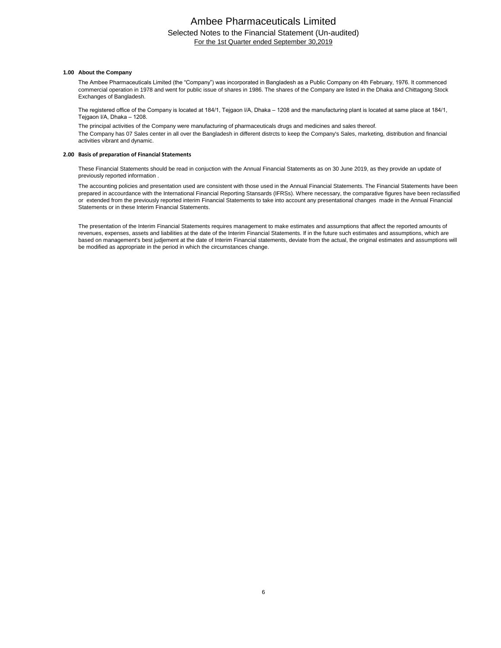### Ambee Pharmaceuticals Limited Selected Notes to the Financial Statement (Un-audited) For the 1st Quarter ended September 30,2019

#### **1.00 About the Company**

The Ambee Pharmaceuticals Limited (the "Company") was incorporated in Bangladesh as a Public Company on 4th February, 1976. It commenced commercial operation in 1978 and went for public issue of shares in 1986. The shares of the Company are listed in the Dhaka and Chittagong Stock Exchanges of Bangladesh.

The registered office of the Company is located at 184/1, Tejgaon I/A, Dhaka – 1208 and the manufacturing plant is located at same place at 184/1, Tejgaon I/A, Dhaka – 1208.

The principal activities of the Company were manufacturing of pharmaceuticals drugs and medicines and sales thereof.

The Company has 07 Sales center in all over the Bangladesh in different distrcts to keep the Company's Sales, marketing, distribution and financial activities vibrant and dynamic.

#### **2.00 Basis of preparation of Financial Statements**

These Financial Statements should be read in conjuction with the Annual Financial Statements as on 30 June 2019, as they provide an update of previously reported information .

The accounting policies and presentation used are consistent with those used in the Annual Financial Statements have been the Financial Statements have been prepared in accourdance with the International Financial Reporting Stansards (IFRSs). Where necessary, the comparative figures have been reclassified or extended from the previously reported interim Financial Statements to take into account any presentational changes made in the Annual Financial Statements or in these Interim Financial Statements.

The presentation of the Interim Financial Statements requires management to make estimates and assumptions that affect the reported amounts of revenues, expenses, assets and liabilities at the date of the Interim Financial Statements. If in the future such estimates and assumptions, which are based on management's best judjement at the date of Interim Financial statements, deviate from the actual, the original estimates and assumptions will be modified as appropriate in the period in which the circumstances change.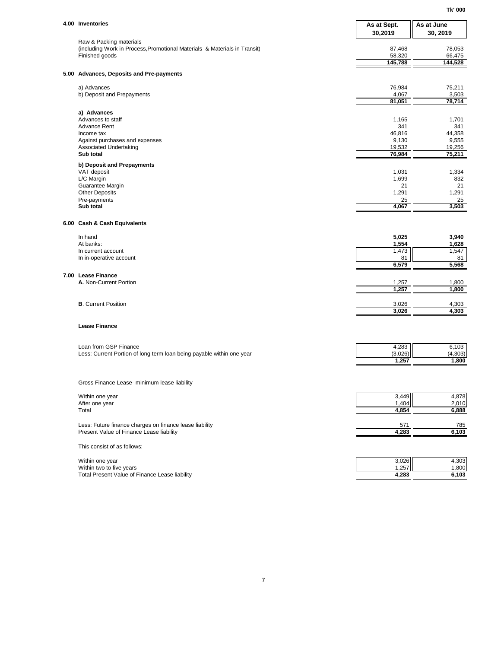| 4.00 Inventories                                                                                     | As at Sept.<br>30,2019 | As at June<br>30, 2019 |
|------------------------------------------------------------------------------------------------------|------------------------|------------------------|
| Raw & Packing materials<br>(including Work in Process, Promotional Materials & Materials in Transit) | 87,468                 | 78,053                 |
| Finished goods                                                                                       | 58,320<br>145,788      | 66,475<br>144,528      |
| 5.00 Advances, Deposits and Pre-payments                                                             |                        |                        |
| a) Advances                                                                                          | 76,984                 | 75,211                 |
| b) Deposit and Prepayments                                                                           | 4,067<br>81,051        | 3,503<br>78,714        |
| a) Advances                                                                                          |                        |                        |
| Advances to staff<br><b>Advance Rent</b>                                                             | 1,165<br>341           | 1,701<br>341           |
| Income tax                                                                                           | 46,816                 | 44,358                 |
| Against purchases and expenses                                                                       | 9,130                  | 9,555                  |
| Associated Undertaking<br>Sub total                                                                  | 19,532<br>76,984       | 19,256<br>75,211       |
| b) Deposit and Prepayments                                                                           |                        |                        |
| VAT deposit<br>L/C Margin                                                                            | 1,031<br>1,699         | 1,334<br>832           |
| Guarantee Margin                                                                                     | 21                     | 21                     |
| <b>Other Deposits</b>                                                                                | 1,291                  | 1,291                  |
| Pre-payments<br>Sub total                                                                            | 25<br>4,067            | 25<br>3,503            |
|                                                                                                      |                        |                        |
| 6.00 Cash & Cash Equivalents                                                                         |                        |                        |
| In hand                                                                                              | 5,025                  | 3,940                  |
| At banks:<br>In current account                                                                      | 1,554<br>1,473         | 1,628<br>1,547         |
| In in-operative account                                                                              | 81<br>6,579            | 81<br>5,568            |
| 7.00 Lease Finance                                                                                   |                        |                        |
| A. Non-Current Portion                                                                               | 1,257                  | 1,800                  |
|                                                                                                      | 1,257                  | 1,800                  |
| <b>B.</b> Current Position                                                                           | 3,026                  | 4,303                  |
|                                                                                                      | 3,026                  | 4,303                  |
| <b>Lease Finance</b>                                                                                 |                        |                        |
| Loan from GSP Finance                                                                                | 4,283                  | 6,103                  |
| Less: Current Portion of long term loan being payable within one year                                | (3,026)                | (4, 303)               |
|                                                                                                      | 1,257                  | 1,800                  |
| Gross Finance Lease- minimum lease liability                                                         |                        |                        |
| Within one year                                                                                      | 3,449                  | 4,878                  |
| After one year<br>Total                                                                              | 1,404<br>4,854         | 2,010<br>6,888         |
|                                                                                                      |                        |                        |
| Less: Future finance charges on finance lease liability<br>Present Value of Finance Lease liability  | 571<br>4,283           | 785<br>6,103           |
|                                                                                                      |                        |                        |
| This consist of as follows:                                                                          |                        |                        |
| Within one year                                                                                      | 3,026                  | 4,303                  |
| Within two to five years                                                                             | 1,257                  | 1,800                  |

Total Present Value of Finance Lease liability **4,283 6,103**